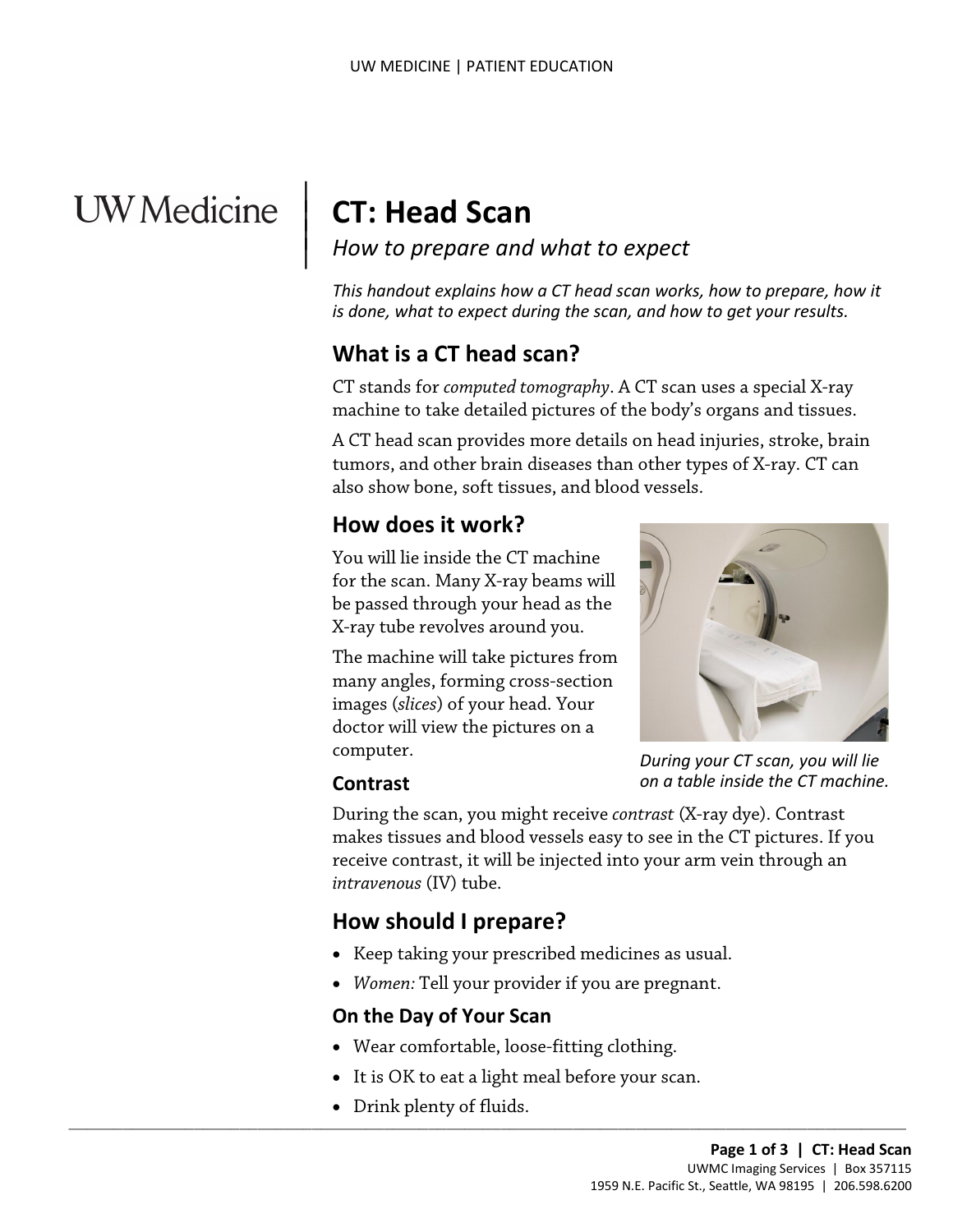# UW Medicine

## **CT: Head Scan**

 $\parallel$  $\vert$  $\vert$ 

*How to prepare and what to expect*

*This handout explains how a CT head scan works, how to prepare, how it is done, what to expect during the scan, and how to get your results.*

## **What is a CT head scan?**

CT stands for *computed tomography*. A CT scan uses a special X-ray machine to take detailed pictures of the body's organs and tissues.

A CT head scan provides more details on head injuries, stroke, b<br>tumors, and other brain diseases than other types of X-ray. CT of<br>also show bone, soft tissues, and blood vessels.<br>**How does it work?**<br>You will lie inside th A CT head scan provides more details on head injuries, stroke, brain tumors, and other brain diseases than other types of X-ray. CT can also show bone, soft tissues, and blood vessels.

#### **How does it work?**

You will lie inside the CT machine for the scan. Many X-ray beams will be passed through your head as the X-ray tube revolves around you.

The machine will take pictures from many angles, forming cross-section images (*slices*) of your head. Your doctor will view the pictures on a computer.



*During your CT scan, you will lie on a table inside the CT machine.*

#### **Contrast**

During the scan, you might receive *contrast* (X-ray dye). Contrast makes tissues and blood vessels easy to see in the CT pictures. If you receive contrast, it will be injected into your arm vein through an *intravenous* (IV) tube.

## **How should I prepare?**

- Keep taking your prescribed medicines as usual.
- *Women:* Tell your provider if you are pregnant.

#### **On the Day of Your Scan**

• Wear comfortable, loose-fitting clothing.

 $\_$  ,  $\_$  ,  $\_$  ,  $\_$  ,  $\_$  ,  $\_$  ,  $\_$  ,  $\_$  ,  $\_$  ,  $\_$  ,  $\_$  ,  $\_$  ,  $\_$  ,  $\_$  ,  $\_$  ,  $\_$  ,  $\_$  ,  $\_$  ,  $\_$  ,  $\_$  ,  $\_$  ,  $\_$  ,  $\_$  ,  $\_$  ,  $\_$  ,  $\_$  ,  $\_$  ,  $\_$  ,  $\_$  ,  $\_$  ,  $\_$  ,  $\_$  ,  $\_$  ,  $\_$  ,  $\_$  ,  $\_$  ,  $\_$  ,

- It is OK to eat a light meal before your scan.
- Drink plenty of fluids.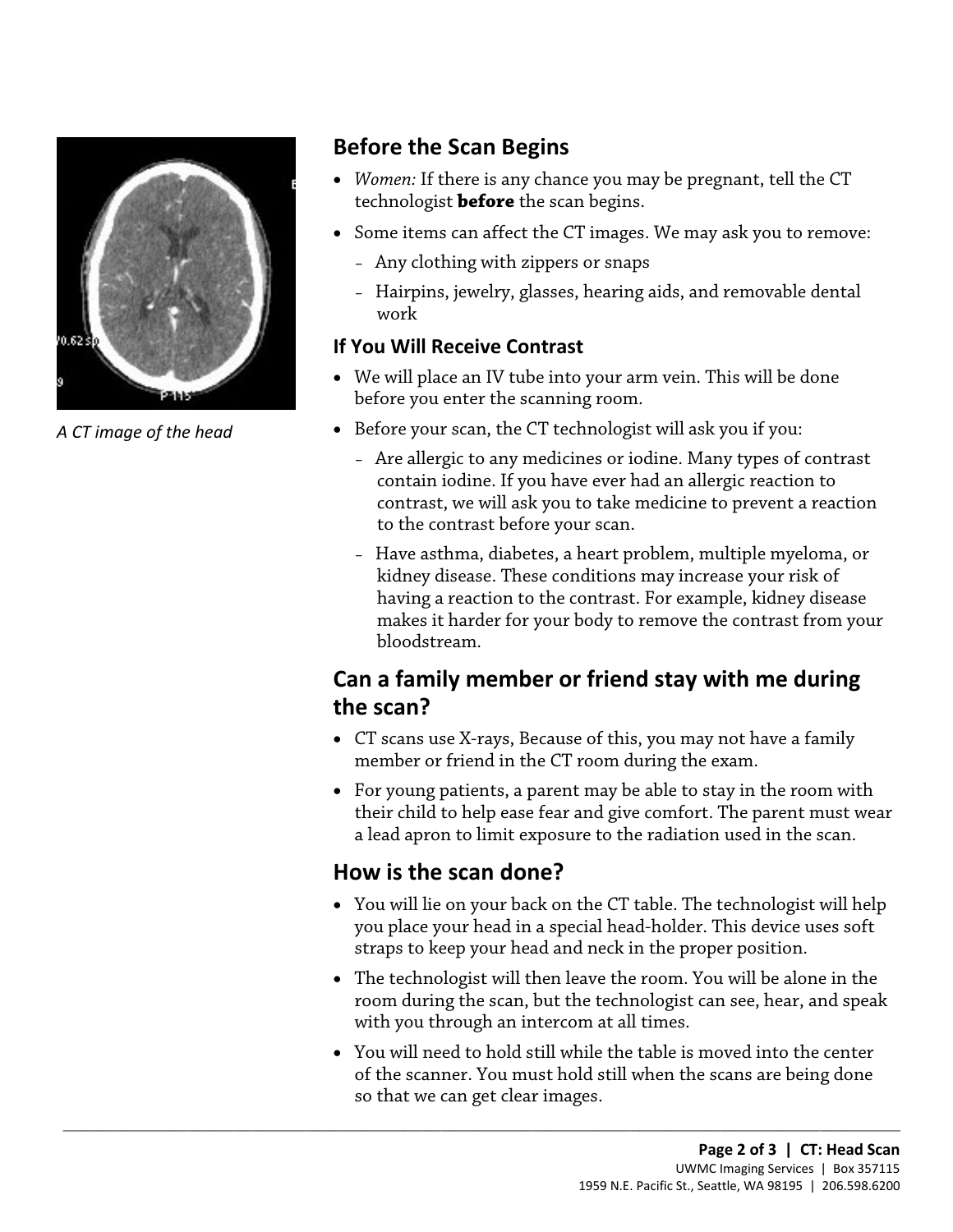

*A CT image of the head*

### **Before the Scan Begins**

- *Women:* If there is any chance you may be pregnant, tell the CT technologist **before** the scan begins.
- Some items can affect the CT images. We may ask you to remove:
	- Any clothing with zippers or snaps
	- Hairpins, jewelry, glasses, hearing aids, and removable dental work

#### **If You Will Receive Contrast**

- We will place an IV tube into your arm vein. This will be done before you enter the scanning room.
- Before your scan, the CT technologist will ask you if you:
- Are allergic to any medicines or iodine. Many types of contra<br>contain iodine. If you have ever had an allergic reaction to<br>contrast, we will ask you to take medicine to prevent a reacti<br>to the contrast before your scan.<br> – Are allergic to any medicines or iodine. Many types of contrast contain iodine. If you have ever had an allergic reaction to contrast, we will ask you to take medicine to prevent a reaction to the contrast before your scan.
	- Have asthma, diabetes, a heart problem, multiple myeloma, or kidney disease. These conditions may increase your risk of having a reaction to the contrast. For example, kidney disease makes it harder for your body to remove the contrast from your bloodstream.

## **Can a family member or friend stay with me during the scan?**

- CT scans use X-rays, Because of this, you may not have a family member or friend in the CT room during the exam.
- For young patients, a parent may be able to stay in the room with their child to help ease fear and give comfort. The parent must wear a lead apron to limit exposure to the radiation used in the scan.

## **How is the scan done?**

 $\_$  ,  $\_$  ,  $\_$  ,  $\_$  ,  $\_$  ,  $\_$  ,  $\_$  ,  $\_$  ,  $\_$  ,  $\_$  ,  $\_$  ,  $\_$  ,  $\_$  ,  $\_$  ,  $\_$  ,  $\_$  ,  $\_$  ,  $\_$  ,  $\_$  ,  $\_$  ,  $\_$  ,  $\_$  ,  $\_$  ,  $\_$  ,  $\_$  ,  $\_$  ,  $\_$  ,  $\_$  ,  $\_$  ,  $\_$  ,  $\_$  ,  $\_$  ,  $\_$  ,  $\_$  ,  $\_$  ,  $\_$  ,  $\_$  ,

- You will lie on your back on the CT table. The technologist will help you place your head in a special head-holder. This device uses soft straps to keep your head and neck in the proper position.
- The technologist will then leave the room. You will be alone in the room during the scan, but the technologist can see, hear, and speak with you through an intercom at all times.
- You will need to hold still while the table is moved into the center of the scanner. You must hold still when the scans are being done so that we can get clear images.